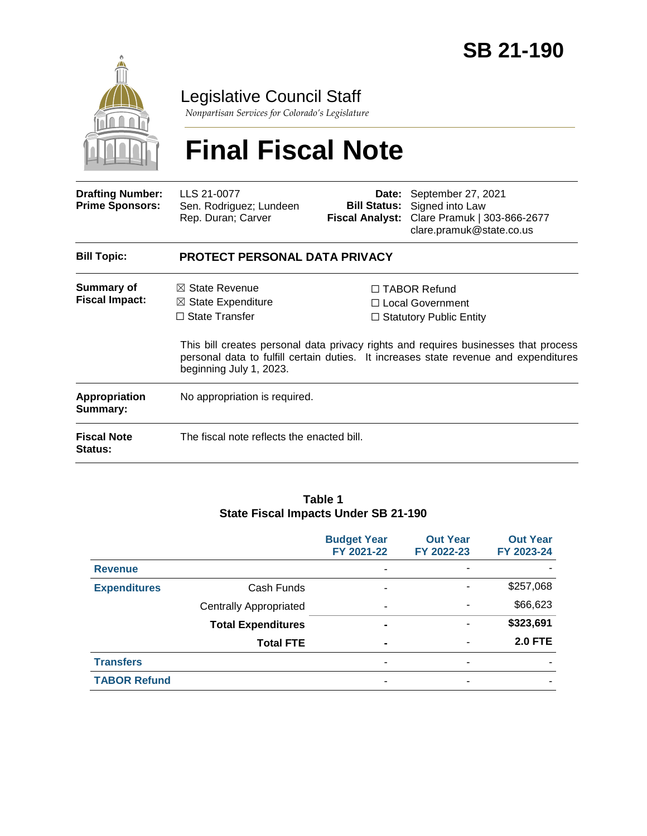

Legislative Council Staff

*Nonpartisan Services for Colorado's Legislature*

# **Final Fiscal Note**

| <b>Drafting Number:</b><br><b>Prime Sponsors:</b> | LLS 21-0077<br>Sen. Rodriguez; Lundeen<br>Rep. Duran; Carver                                                    | <b>Bill Status:</b><br>Fiscal Analyst:                                                                                                                                  | Date: September 27, 2021<br>Signed into Law<br>Clare Pramuk   303-866-2677<br>clare.pramuk@state.co.us |  |  |
|---------------------------------------------------|-----------------------------------------------------------------------------------------------------------------|-------------------------------------------------------------------------------------------------------------------------------------------------------------------------|--------------------------------------------------------------------------------------------------------|--|--|
| <b>Bill Topic:</b>                                | <b>PROTECT PERSONAL DATA PRIVACY</b>                                                                            |                                                                                                                                                                         |                                                                                                        |  |  |
| Summary of<br><b>Fiscal Impact:</b>               | $\boxtimes$ State Revenue<br>$\boxtimes$ State Expenditure<br>$\Box$ State Transfer                             | $\Box$ TABOR Refund<br>$\Box$ Local Government<br>$\Box$ Statutory Public Entity<br>This bill creates personal data privacy rights and requires businesses that process |                                                                                                        |  |  |
|                                                   | personal data to fulfill certain duties. It increases state revenue and expenditures<br>beginning July 1, 2023. |                                                                                                                                                                         |                                                                                                        |  |  |
| Appropriation<br>Summary:                         | No appropriation is required.                                                                                   |                                                                                                                                                                         |                                                                                                        |  |  |
| <b>Fiscal Note</b><br><b>Status:</b>              | The fiscal note reflects the enacted bill.                                                                      |                                                                                                                                                                         |                                                                                                        |  |  |

#### **Table 1 State Fiscal Impacts Under SB 21-190**

|                     |                               | <b>Budget Year</b><br>FY 2021-22 | <b>Out Year</b><br>FY 2022-23 | <b>Out Year</b><br>FY 2023-24 |
|---------------------|-------------------------------|----------------------------------|-------------------------------|-------------------------------|
| <b>Revenue</b>      |                               | ٠                                | ٠                             |                               |
| <b>Expenditures</b> | Cash Funds                    | ۰                                | ۰                             | \$257,068                     |
|                     | <b>Centrally Appropriated</b> | $\blacksquare$                   | ٠                             | \$66,623                      |
|                     | <b>Total Expenditures</b>     | $\blacksquare$                   |                               | \$323,691                     |
|                     | <b>Total FTE</b>              | ۰                                | ٠                             | <b>2.0 FTE</b>                |
| <b>Transfers</b>    |                               | ۰                                | ٠                             |                               |
| <b>TABOR Refund</b> |                               | ۰                                |                               |                               |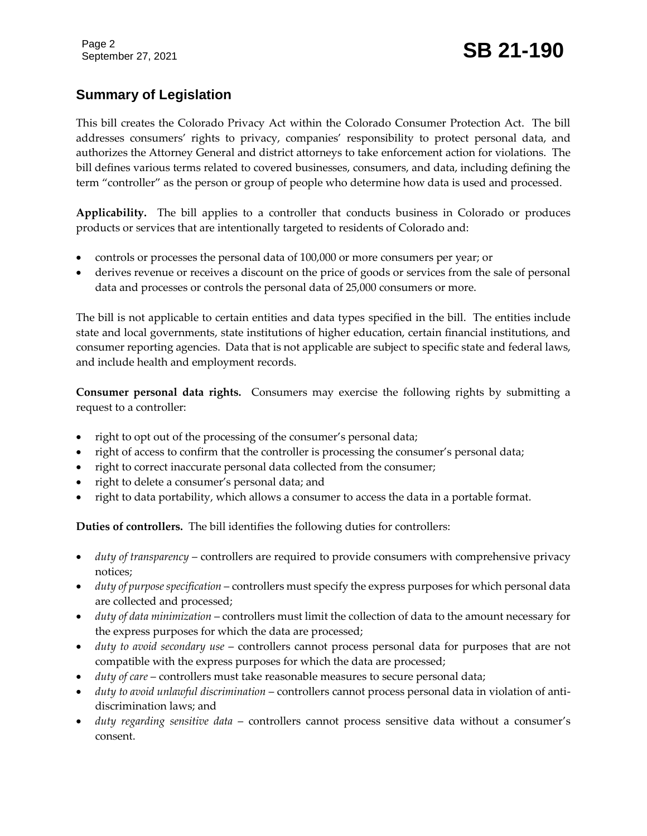### September 27, 2021 **SB 21-190**

### **Summary of Legislation**

This bill creates the Colorado Privacy Act within the Colorado Consumer Protection Act. The bill addresses consumers' rights to privacy, companies' responsibility to protect personal data, and authorizes the Attorney General and district attorneys to take enforcement action for violations. The bill defines various terms related to covered businesses, consumers, and data, including defining the term "controller" as the person or group of people who determine how data is used and processed.

**Applicability.** The bill applies to a controller that conducts business in Colorado or produces products or services that are intentionally targeted to residents of Colorado and:

- controls or processes the personal data of 100,000 or more consumers per year; or
- derives revenue or receives a discount on the price of goods or services from the sale of personal data and processes or controls the personal data of 25,000 consumers or more.

The bill is not applicable to certain entities and data types specified in the bill. The entities include state and local governments, state institutions of higher education, certain financial institutions, and consumer reporting agencies. Data that is not applicable are subject to specific state and federal laws, and include health and employment records.

**Consumer personal data rights.** Consumers may exercise the following rights by submitting a request to a controller:

- right to opt out of the processing of the consumer's personal data;
- right of access to confirm that the controller is processing the consumer's personal data;
- right to correct inaccurate personal data collected from the consumer;
- right to delete a consumer's personal data; and
- right to data portability, which allows a consumer to access the data in a portable format.

**Duties of controllers.** The bill identifies the following duties for controllers:

- *duty of transparency* controllers are required to provide consumers with comprehensive privacy notices;
- *duty of purpose specification* controllers must specify the express purposes for which personal data are collected and processed;
- *duty of data minimization* controllers must limit the collection of data to the amount necessary for the express purposes for which the data are processed;
- *duty to avoid secondary use* controllers cannot process personal data for purposes that are not compatible with the express purposes for which the data are processed;
- *duty of care* controllers must take reasonable measures to secure personal data;
- *duty to avoid unlawful discrimination* controllers cannot process personal data in violation of antidiscrimination laws; and
- *duty regarding sensitive data* controllers cannot process sensitive data without a consumer's consent.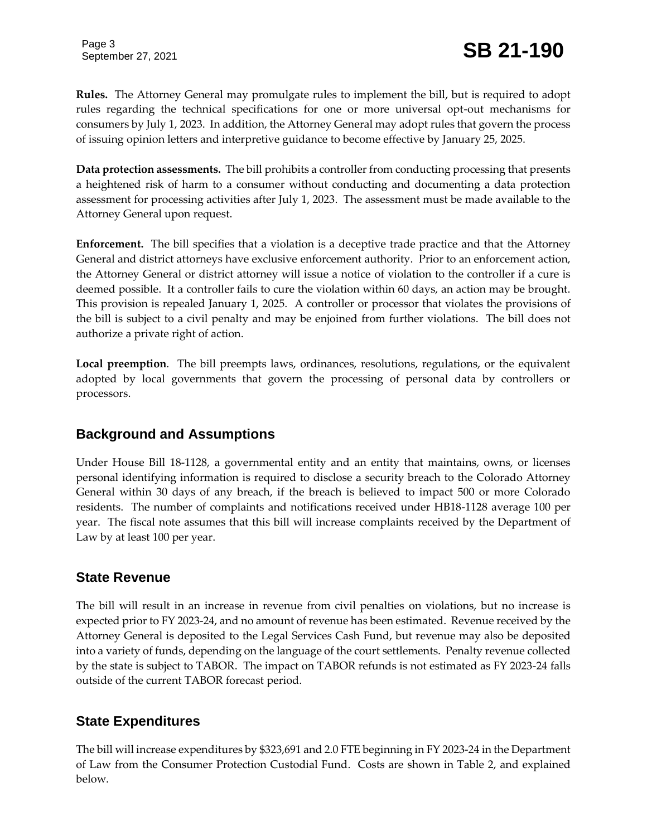Page 3

## September 27, 2021 **SB 21-190**

**Rules.** The Attorney General may promulgate rules to implement the bill, but is required to adopt rules regarding the technical specifications for one or more universal opt-out mechanisms for consumers by July 1, 2023. In addition, the Attorney General may adopt rules that govern the process of issuing opinion letters and interpretive guidance to become effective by January 25, 2025.

**Data protection assessments.** The bill prohibits a controller from conducting processing that presents a heightened risk of harm to a consumer without conducting and documenting a data protection assessment for processing activities after July 1, 2023. The assessment must be made available to the Attorney General upon request.

**Enforcement.** The bill specifies that a violation is a deceptive trade practice and that the Attorney General and district attorneys have exclusive enforcement authority. Prior to an enforcement action, the Attorney General or district attorney will issue a notice of violation to the controller if a cure is deemed possible. It a controller fails to cure the violation within 60 days, an action may be brought. This provision is repealed January 1, 2025. A controller or processor that violates the provisions of the bill is subject to a civil penalty and may be enjoined from further violations. The bill does not authorize a private right of action.

**Local preemption**. The bill preempts laws, ordinances, resolutions, regulations, or the equivalent adopted by local governments that govern the processing of personal data by controllers or processors.

#### **Background and Assumptions**

Under House Bill 18-1128, a governmental entity and an entity that maintains, owns, or licenses personal identifying information is required to disclose a security breach to the Colorado Attorney General within 30 days of any breach, if the breach is believed to impact 500 or more Colorado residents. The number of complaints and notifications received under HB18-1128 average 100 per year. The fiscal note assumes that this bill will increase complaints received by the Department of Law by at least 100 per year.

#### **State Revenue**

The bill will result in an increase in revenue from civil penalties on violations, but no increase is expected prior to FY 2023-24, and no amount of revenue has been estimated. Revenue received by the Attorney General is deposited to the Legal Services Cash Fund, but revenue may also be deposited into a variety of funds, depending on the language of the court settlements. Penalty revenue collected by the state is subject to TABOR. The impact on TABOR refunds is not estimated as FY 2023-24 falls outside of the current TABOR forecast period.

#### **State Expenditures**

The bill will increase expenditures by \$323,691 and 2.0 FTE beginning in FY 2023-24 in the Department of Law from the Consumer Protection Custodial Fund. Costs are shown in Table 2, and explained below.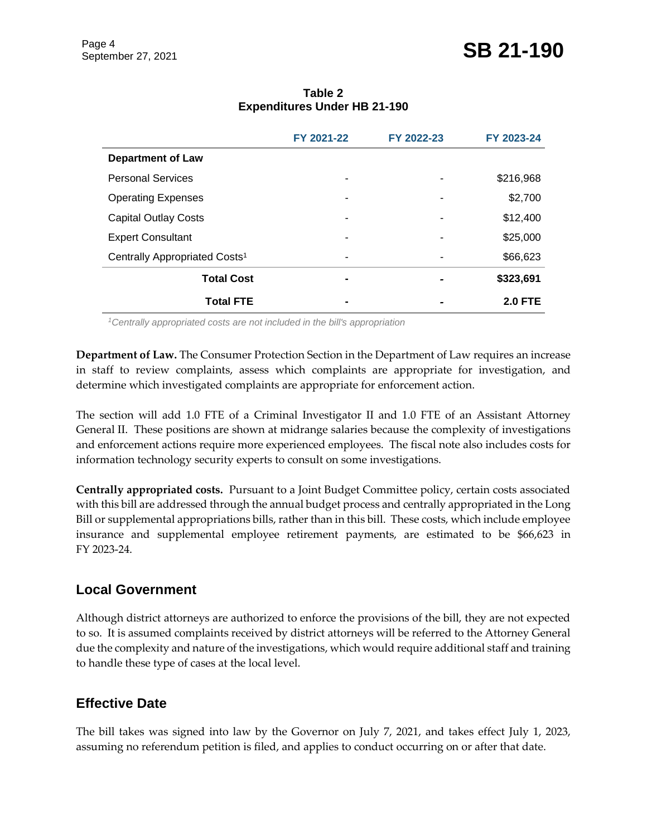|                                           | FY 2021-22     | FY 2022-23 | FY 2023-24     |
|-------------------------------------------|----------------|------------|----------------|
| <b>Department of Law</b>                  |                |            |                |
| <b>Personal Services</b>                  |                |            | \$216,968      |
| <b>Operating Expenses</b>                 |                |            | \$2,700        |
| <b>Capital Outlay Costs</b>               |                |            | \$12,400       |
| <b>Expert Consultant</b>                  | -              |            | \$25,000       |
| Centrally Appropriated Costs <sup>1</sup> | -              |            | \$66,623       |
| <b>Total Cost</b>                         | -              |            | \$323,691      |
| <b>Total FTE</b>                          | $\blacksquare$ |            | <b>2.0 FTE</b> |

#### **Table 2 Expenditures Under HB 21-190**

*<sup>1</sup>Centrally appropriated costs are not included in the bill's appropriation*

**Department of Law.** The Consumer Protection Section in the Department of Law requires an increase in staff to review complaints, assess which complaints are appropriate for investigation, and determine which investigated complaints are appropriate for enforcement action.

The section will add 1.0 FTE of a Criminal Investigator II and 1.0 FTE of an Assistant Attorney General II. These positions are shown at midrange salaries because the complexity of investigations and enforcement actions require more experienced employees. The fiscal note also includes costs for information technology security experts to consult on some investigations.

**Centrally appropriated costs.** Pursuant to a Joint Budget Committee policy, certain costs associated with this bill are addressed through the annual budget process and centrally appropriated in the Long Bill or supplemental appropriations bills, rather than in this bill. These costs, which include employee insurance and supplemental employee retirement payments, are estimated to be \$66,623 in FY 2023-24.

#### **Local Government**

Although district attorneys are authorized to enforce the provisions of the bill, they are not expected to so. It is assumed complaints received by district attorneys will be referred to the Attorney General due the complexity and nature of the investigations, which would require additional staff and training to handle these type of cases at the local level.

#### **Effective Date**

The bill takes was signed into law by the Governor on July 7, 2021, and takes effect July 1, 2023, assuming no referendum petition is filed, and applies to conduct occurring on or after that date.